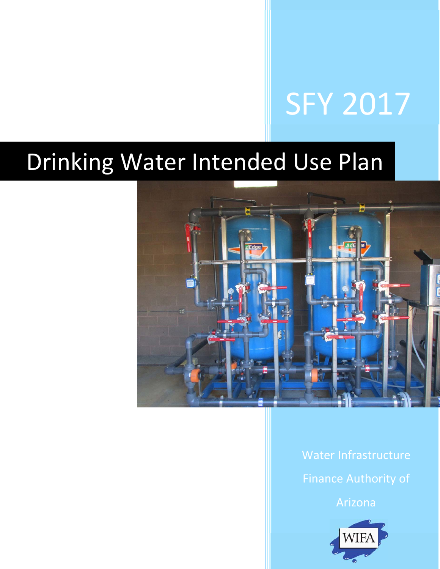# SFY 2017

## Drinking Water Intended Use Plan



Water Infrastructure Finance Authority of

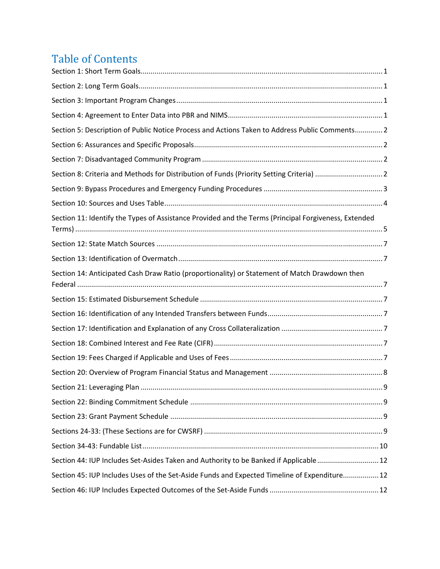### **Table of Contents**

| Section 5: Description of Public Notice Process and Actions Taken to Address Public Comments 2       |     |
|------------------------------------------------------------------------------------------------------|-----|
|                                                                                                      |     |
|                                                                                                      |     |
| Section 8: Criteria and Methods for Distribution of Funds (Priority Setting Criteria)  2             |     |
|                                                                                                      |     |
|                                                                                                      |     |
| Section 11: Identify the Types of Assistance Provided and the Terms (Principal Forgiveness, Extended |     |
|                                                                                                      |     |
|                                                                                                      |     |
| Section 14: Anticipated Cash Draw Ratio (proportionality) or Statement of Match Drawdown then        |     |
|                                                                                                      |     |
|                                                                                                      |     |
|                                                                                                      |     |
|                                                                                                      |     |
|                                                                                                      |     |
|                                                                                                      |     |
|                                                                                                      | . 9 |
|                                                                                                      |     |
|                                                                                                      |     |
|                                                                                                      |     |
|                                                                                                      |     |
| Section 44: IUP Includes Set-Asides Taken and Authority to be Banked if Applicable 12                |     |
| Section 45: IUP Includes Uses of the Set-Aside Funds and Expected Timeline of Expenditure 12         |     |
|                                                                                                      |     |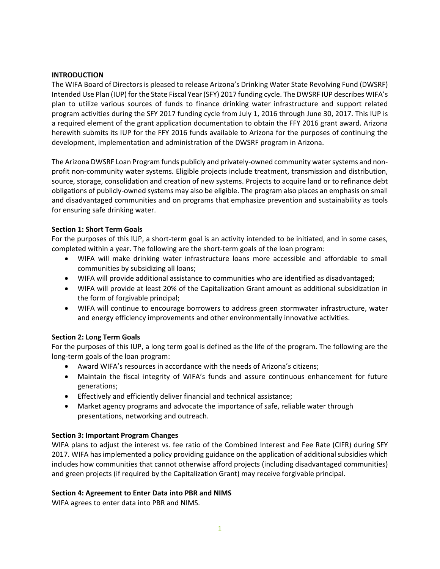#### **INTRODUCTION**

The WIFA Board of Directors is pleased to release Arizona's Drinking Water State Revolving Fund (DWSRF) Intended Use Plan (IUP) for the State Fiscal Year (SFY) 2017 funding cycle. The DWSRF IUP describes WIFA's plan to utilize various sources of funds to finance drinking water infrastructure and support related program activities during the SFY 2017 funding cycle from July 1, 2016 through June 30, 2017. This IUP is a required element of the grant application documentation to obtain the FFY 2016 grant award. Arizona herewith submits its IUP for the FFY 2016 funds available to Arizona for the purposes of continuing the development, implementation and administration of the DWSRF program in Arizona.

The Arizona DWSRF Loan Program funds publicly and privately‐owned community water systems and non‐ profit non‐community water systems. Eligible projects include treatment, transmission and distribution, source, storage, consolidation and creation of new systems. Projects to acquire land or to refinance debt obligations of publicly‐owned systems may also be eligible. The program also places an emphasis on small and disadvantaged communities and on programs that emphasize prevention and sustainability as tools for ensuring safe drinking water.

#### **Section 1: Short Term Goals**

For the purposes of this IUP, a short-term goal is an activity intended to be initiated, and in some cases, completed within a year. The following are the short-term goals of the loan program:

- WIFA will make drinking water infrastructure loans more accessible and affordable to small communities by subsidizing all loans;
- WIFA will provide additional assistance to communities who are identified as disadvantaged;
- WIFA will provide at least 20% of the Capitalization Grant amount as additional subsidization in the form of forgivable principal;
- WIFA will continue to encourage borrowers to address green stormwater infrastructure, water and energy efficiency improvements and other environmentally innovative activities.

#### **Section 2: Long Term Goals**

For the purposes of this IUP, a long term goal is defined as the life of the program. The following are the long‐term goals of the loan program:

- Award WIFA's resources in accordance with the needs of Arizona's citizens;
- Maintain the fiscal integrity of WIFA's funds and assure continuous enhancement for future generations;
- Effectively and efficiently deliver financial and technical assistance;
- Market agency programs and advocate the importance of safe, reliable water through presentations, networking and outreach.

#### **Section 3: Important Program Changes**

WIFA plans to adjust the interest vs. fee ratio of the Combined Interest and Fee Rate (CIFR) during SFY 2017. WIFA has implemented a policy providing guidance on the application of additional subsidies which includes how communities that cannot otherwise afford projects (including disadvantaged communities) and green projects (if required by the Capitalization Grant) may receive forgivable principal.

#### **Section 4: Agreement to Enter Data into PBR and NIMS**

WIFA agrees to enter data into PBR and NIMS.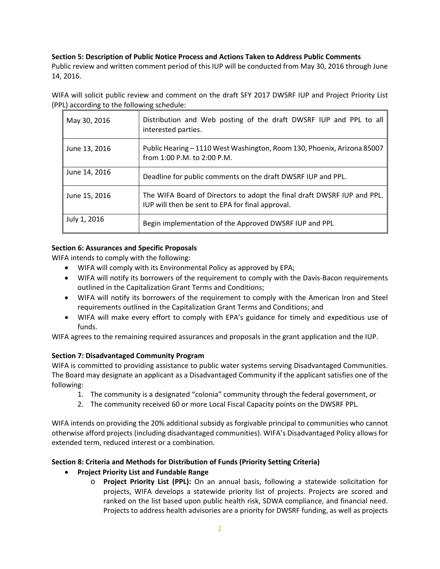#### **Section 5: Description of Public Notice Process and Actions Taken to Address Public Comments**

Public review and written comment period of this IUP will be conducted from May 30, 2016 through June 14, 2016.

WIFA will solicit public review and comment on the draft SFY 2017 DWSRF IUP and Project Priority List (PPL) according to the following schedule:

| May 30, 2016  | Distribution and Web posting of the draft DWSRF IUP and PPL to all<br>interested parties.                                   |
|---------------|-----------------------------------------------------------------------------------------------------------------------------|
| June 13, 2016 | Public Hearing - 1110 West Washington, Room 130, Phoenix, Arizona 85007<br>from 1:00 P.M. to 2:00 P.M.                      |
| June 14, 2016 | Deadline for public comments on the draft DWSRF IUP and PPL.                                                                |
| June 15, 2016 | The WIFA Board of Directors to adopt the final draft DWSRF IUP and PPL.<br>IUP will then be sent to EPA for final approval. |
| July 1, 2016  | Begin implementation of the Approved DWSRF IUP and PPL                                                                      |

#### **Section 6: Assurances and Specific Proposals**

WIFA intends to comply with the following:

- WIFA will comply with its Environmental Policy as approved by EPA;
- WIFA will notify its borrowers of the requirement to comply with the Davis‐Bacon requirements outlined in the Capitalization Grant Terms and Conditions;
- WIFA will notify its borrowers of the requirement to comply with the American Iron and Steel requirements outlined in the Capitalization Grant Terms and Conditions; and
- WIFA will make every effort to comply with EPA's guidance for timely and expeditious use of funds.

WIFA agrees to the remaining required assurances and proposals in the grant application and the IUP.

#### **Section 7: Disadvantaged Community Program**

WIFA is committed to providing assistance to public water systems serving Disadvantaged Communities. The Board may designate an applicant as a Disadvantaged Community if the applicant satisfies one of the following:

- 1. The community is a designated "colonia" community through the federal government, or
- 2. The community received 60 or more Local Fiscal Capacity points on the DWSRF PPL.

WIFA intends on providing the 20% additional subsidy as forgivable principal to communities who cannot otherwise afford projects (including disadvantaged communities). WIFA's Disadvantaged Policy allows for extended term, reduced interest or a combination.

#### **Section 8: Criteria and Methods for Distribution of Funds (Priority Setting Criteria)**

- **Project Priority List and Fundable Range** 
	- o **Project Priority List (PPL):**  On an annual basis, following a statewide solicitation for projects, WIFA develops a statewide priority list of projects. Projects are scored and ranked on the list based upon public health risk, SDWA compliance, and financial need. Projects to address health advisories are a priority for DWSRF funding, as well as projects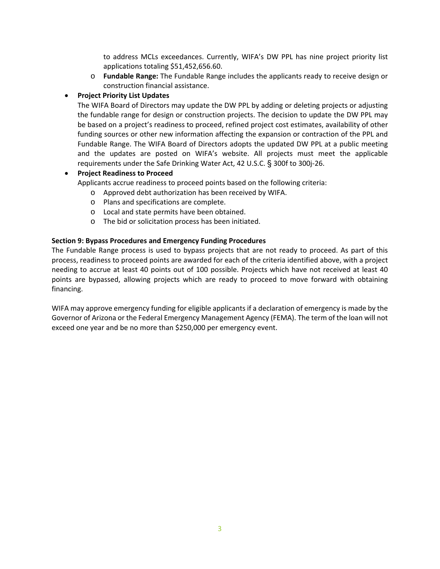to address MCLs exceedances. Currently, WIFA's DW PPL has nine project priority list applications totaling \$51,452,656.60.

o **Fundable Range:** The Fundable Range includes the applicants ready to receive design or construction financial assistance.

#### **Project Priority List Updates**

The WIFA Board of Directors may update the DW PPL by adding or deleting projects or adjusting the fundable range for design or construction projects. The decision to update the DW PPL may be based on a project's readiness to proceed, refined project cost estimates, availability of other funding sources or other new information affecting the expansion or contraction of the PPL and Fundable Range. The WIFA Board of Directors adopts the updated DW PPL at a public meeting and the updates are posted on WIFA's website. All projects must meet the applicable requirements under the Safe Drinking Water Act, 42 U.S.C. § 300f to 300j‐26.

#### **Project Readiness to Proceed**

Applicants accrue readiness to proceed points based on the following criteria:

- o Approved debt authorization has been received by WIFA.
- o Plans and specifications are complete.
- o Local and state permits have been obtained.
- o The bid or solicitation process has been initiated.

#### **Section 9: Bypass Procedures and Emergency Funding Procedures**

The Fundable Range process is used to bypass projects that are not ready to proceed. As part of this process, readiness to proceed points are awarded for each of the criteria identified above, with a project needing to accrue at least 40 points out of 100 possible. Projects which have not received at least 40 points are bypassed, allowing projects which are ready to proceed to move forward with obtaining financing.

WIFA may approve emergency funding for eligible applicants if a declaration of emergency is made by the Governor of Arizona or the Federal Emergency Management Agency (FEMA). The term of the loan will not exceed one year and be no more than \$250,000 per emergency event.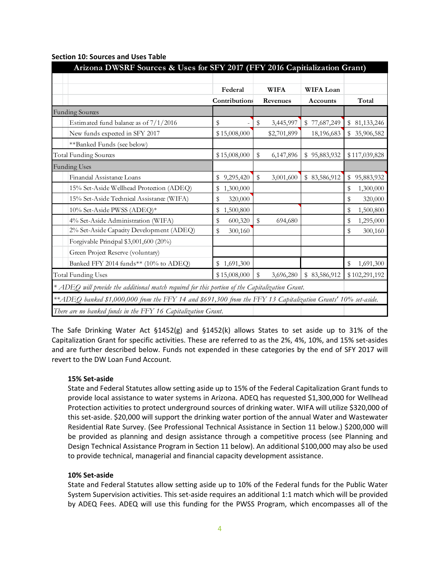|                                                                                                               | Federal                  | <b>WIFA</b>     | <b>WIFA Loan</b> |                  |
|---------------------------------------------------------------------------------------------------------------|--------------------------|-----------------|------------------|------------------|
|                                                                                                               | Contributions            | Revenues        | Accounts         | Total            |
| <b>Funding Sources</b>                                                                                        |                          |                 |                  |                  |
| Estimated fund balance as of $7/1/2016$                                                                       | \$                       | \$<br>3,445,997 | \$77,687,249     | \$81,133,246     |
| New funds expected in SFY 2017                                                                                | \$15,008,000             | \$2,701,899     | 18,196,683       | \$35,906,582     |
| **Banked Funds (see below)                                                                                    |                          |                 |                  |                  |
| Total Funding Sources                                                                                         | \$15,008,000             | \$<br>6,147,896 | \$95,883,932     | \$117,039,828    |
| <b>Funding Uses</b>                                                                                           |                          |                 |                  |                  |
| Financial Assistance Loans                                                                                    | \$<br>9,295,420          | \$<br>3,001,600 | 83,586,912<br>\$ | 95,883,932<br>\$ |
| 15% Set-Aside Wellhead Protection (ADEQ)                                                                      | 1,300,000<br>\$          |                 |                  | 1,300,000<br>S   |
| 15% Set-Aside Technical Assistance (WIFA)                                                                     | \$<br>320,000            |                 |                  | \$<br>320,000    |
| 10% Set-Aside PWSS (ADEQ)*                                                                                    | 1,500,800<br>$\mathbb S$ |                 |                  | 1,500,800<br>\$  |
| 4% Set-Aside Administration (WIFA)                                                                            | \$<br>600,320            | \$<br>694,680   |                  | \$<br>1,295,000  |
| 2% Set-Aside Capacity Development (ADEQ)                                                                      | \$<br>300,160            |                 |                  | \$<br>300,160    |
| Forgivable Principal \$3,001,600 (20%)                                                                        |                          |                 |                  |                  |
| Green Project Reserve (voluntary)                                                                             |                          |                 |                  |                  |
| Banked FFY 2014 funds** (10% to ADEQ)                                                                         | \$1,691,300              |                 |                  | 1,691,300<br>\$  |
| <b>Total Funding Uses</b>                                                                                     | \$15,008,000             | \$<br>3,696,280 | \$<br>83,586,912 | \$102,291,192    |
| * ADEQ will provide the additional match required for this portion of the Capitalization Grant.               |                          |                 |                  |                  |
| **ADEQ banked \$1,000,000 from the FFY 14 and \$691,300 from the FFY 13 Capitalization Grants' 10% set-aside. |                          |                 |                  |                  |

#### **Section 10: Sources and Uses Table**

The Safe Drinking Water Act §1452(g) and §1452(k) allows States to set aside up to 31% of the Capitalization Grant for specific activities. These are referred to as the 2%, 4%, 10%, and 15% set‐asides and are further described below. Funds not expended in these categories by the end of SFY 2017 will revert to the DW Loan Fund Account.

#### **15% Set‐aside**

State and Federal Statutes allow setting aside up to 15% of the Federal Capitalization Grant funds to provide local assistance to water systems in Arizona. ADEQ has requested \$1,300,000 for Wellhead Protection activities to protect underground sources of drinking water. WIFA will utilize \$320,000 of this set-aside. \$20,000 will support the drinking water portion of the annual Water and Wastewater Residential Rate Survey. (See Professional Technical Assistance in Section 11 below.) \$200,000 will be provided as planning and design assistance through a competitive process (see Planning and Design Technical Assistance Program in Section 11 below). An additional \$100,000 may also be used to provide technical, managerial and financial capacity development assistance.

#### **10% Set‐aside**

State and Federal Statutes allow setting aside up to 10% of the Federal funds for the Public Water System Supervision activities. This set‐aside requires an additional 1:1 match which will be provided by ADEQ Fees. ADEQ will use this funding for the PWSS Program, which encompasses all of the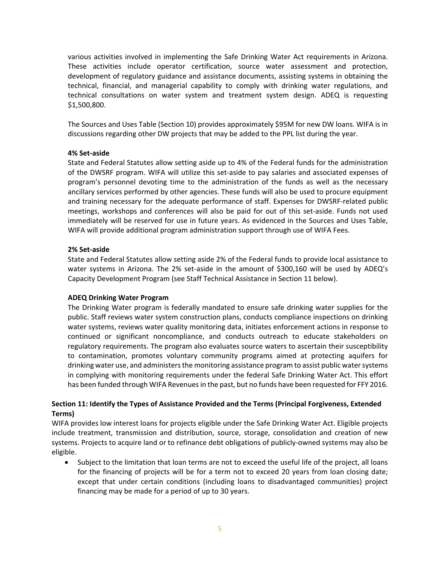various activities involved in implementing the Safe Drinking Water Act requirements in Arizona. These activities include operator certification, source water assessment and protection, development of regulatory guidance and assistance documents, assisting systems in obtaining the technical, financial, and managerial capability to comply with drinking water regulations, and technical consultations on water system and treatment system design. ADEQ is requesting \$1,500,800.

The Sources and Uses Table (Section 10) provides approximately \$95M for new DW loans. WIFA is in discussions regarding other DW projects that may be added to the PPL list during the year.

#### **4% Set‐aside**

State and Federal Statutes allow setting aside up to 4% of the Federal funds for the administration of the DWSRF program. WIFA will utilize this set‐aside to pay salaries and associated expenses of program's personnel devoting time to the administration of the funds as well as the necessary ancillary services performed by other agencies. These funds will also be used to procure equipment and training necessary for the adequate performance of staff. Expenses for DWSRF‐related public meetings, workshops and conferences will also be paid for out of this set‐aside. Funds not used immediately will be reserved for use in future years. As evidenced in the Sources and Uses Table, WIFA will provide additional program administration support through use of WIFA Fees.

#### **2% Set‐aside**

State and Federal Statutes allow setting aside 2% of the Federal funds to provide local assistance to water systems in Arizona. The 2% set-aside in the amount of \$300,160 will be used by ADEQ's Capacity Development Program (see Staff Technical Assistance in Section 11 below).

#### **ADEQ Drinking Water Program**

The Drinking Water program is federally mandated to ensure safe drinking water supplies for the public. Staff reviews water system construction plans, conducts compliance inspections on drinking water systems, reviews water quality monitoring data, initiates enforcement actions in response to continued or significant noncompliance, and conducts outreach to educate stakeholders on regulatory requirements. The program also evaluates source waters to ascertain their susceptibility to contamination, promotes voluntary community programs aimed at protecting aquifers for drinking water use, and administers the monitoring assistance program to assist public water systems in complying with monitoring requirements under the federal Safe Drinking Water Act. This effort has been funded through WIFA Revenues in the past, but no funds have been requested for FFY 2016.

#### **Section 11: Identify the Types of Assistance Provided and the Terms (Principal Forgiveness, Extended Terms)**

WIFA provides low interest loans for projects eligible under the Safe Drinking Water Act. Eligible projects include treatment, transmission and distribution, source, storage, consolidation and creation of new systems. Projects to acquire land or to refinance debt obligations of publicly-owned systems may also be eligible.

 Subject to the limitation that loan terms are not to exceed the useful life of the project, all loans for the financing of projects will be for a term not to exceed 20 years from loan closing date; except that under certain conditions (including loans to disadvantaged communities) project financing may be made for a period of up to 30 years.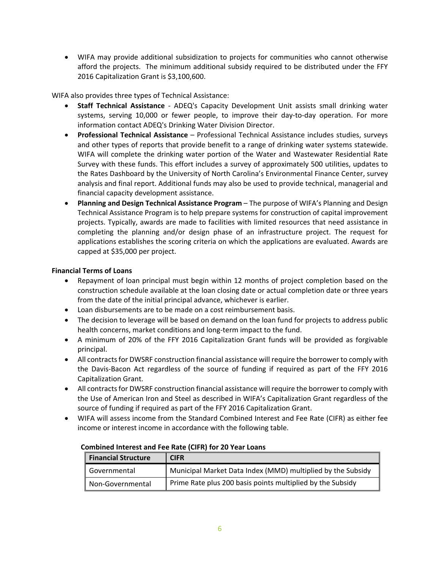WIFA may provide additional subsidization to projects for communities who cannot otherwise afford the projects. The minimum additional subsidy required to be distributed under the FFY 2016 Capitalization Grant is \$3,100,600.

WIFA also provides three types of Technical Assistance:

- **Staff Technical Assistance**  *‐*  ADEQ's Capacity Development Unit assists small drinking water systems, serving 10,000 or fewer people, to improve their day-to-day operation. For more information contact ADEQ's Drinking Water Division Director.
- **Professional Technical Assistance** Professional Technical Assistance includes studies, surveys and other types of reports that provide benefit to a range of drinking water systems statewide. WIFA will complete the drinking water portion of the Water and Wastewater Residential Rate Survey with these funds. This effort includes a survey of approximately 500 utilities, updates to the Rates Dashboard by the University of North Carolina's Environmental Finance Center, survey analysis and final report. Additional funds may also be used to provide technical, managerial and financial capacity development assistance.
- **Planning and Design Technical Assistance Program**  The purpose of WIFA's Planning and Design Technical Assistance Program is to help prepare systems for construction of capital improvement projects. Typically, awards are made to facilities with limited resources that need assistance in completing the planning and/or design phase of an infrastructure project. The request for applications establishes the scoring criteria on which the applications are evaluated. Awards are capped at \$35,000 per project.

#### **Financial Terms of Loans**

- Repayment of loan principal must begin within 12 months of project completion based on the construction schedule available at the loan closing date or actual completion date or three years from the date of the initial principal advance, whichever is earlier.
- Loan disbursements are to be made on a cost reimbursement basis.
- The decision to leverage will be based on demand on the loan fund for projects to address public health concerns, market conditions and long-term impact to the fund.
- A minimum of 20% of the FFY 2016 Capitalization Grant funds will be provided as forgivable principal.
- All contracts for DWSRF construction financial assistance will require the borrower to comply with the Davis-Bacon Act regardless of the source of funding if required as part of the FFY 2016 Capitalization Grant.
- All contracts for DWSRF construction financial assistance will require the borrower to comply with the Use of American Iron and Steel as described in WIFA's Capitalization Grant regardless of the source of funding if required as part of the FFY 2016 Capitalization Grant.
- WIFA will assess income from the Standard Combined Interest and Fee Rate (CIFR) as either fee income or interest income in accordance with the following table.

| <b>Financial Structure</b> | <b>CIFR</b>                                                 |
|----------------------------|-------------------------------------------------------------|
| ll Governmental            | Municipal Market Data Index (MMD) multiplied by the Subsidy |
| Non-Governmental           | Prime Rate plus 200 basis points multiplied by the Subsidy  |

#### **Combined Interest and Fee Rate (CIFR) for 20 Year Loans**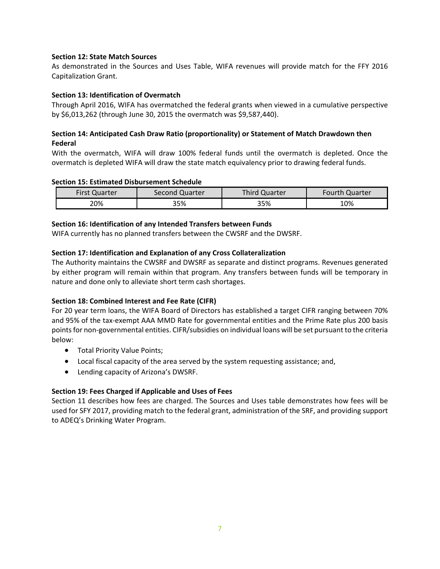#### **Section 12: State Match Sources**

As demonstrated in the Sources and Uses Table, WIFA revenues will provide match for the FFY 2016 Capitalization Grant.

#### **Section 13: Identification of Overmatch**

Through April 2016, WIFA has overmatched the federal grants when viewed in a cumulative perspective by \$6,013,262 (through June 30, 2015 the overmatch was \$9,587,440).

#### **Section 14: Anticipated Cash Draw Ratio (proportionality) or Statement of Match Drawdown then Federal**

With the overmatch, WIFA will draw 100% federal funds until the overmatch is depleted. Once the overmatch is depleted WIFA will draw the state match equivalency prior to drawing federal funds.

#### **Section 15: Estimated Disbursement Schedule**

| <b>First Quarter</b> | Second Quarter | Third Quarter | <b>Fourth Quarter</b> |
|----------------------|----------------|---------------|-----------------------|
| 20%                  | 35%            | 35%           | 10%                   |

#### **Section 16: Identification of any Intended Transfers between Funds**

WIFA currently has no planned transfers between the CWSRF and the DWSRF.

#### **Section 17: Identification and Explanation of any Cross Collateralization**

The Authority maintains the CWSRF and DWSRF as separate and distinct programs. Revenues generated by either program will remain within that program. Any transfers between funds will be temporary in nature and done only to alleviate short term cash shortages.

#### **Section 18: Combined Interest and Fee Rate (CIFR)**

For 20 year term loans, the WIFA Board of Directors has established a target CIFR ranging between 70% and 95% of the tax‐exempt AAA MMD Rate for governmental entities and the Prime Rate plus 200 basis points for non‐governmental entities. CIFR/subsidies on individual loans will be set pursuant to the criteria below:

- Total Priority Value Points;
- Local fiscal capacity of the area served by the system requesting assistance; and,
- Lending capacity of Arizona's DWSRF.

#### **Section 19: Fees Charged if Applicable and Uses of Fees**

Section 11 describes how fees are charged. The Sources and Uses table demonstrates how fees will be used for SFY 2017, providing match to the federal grant, administration of the SRF, and providing support to ADEQ's Drinking Water Program.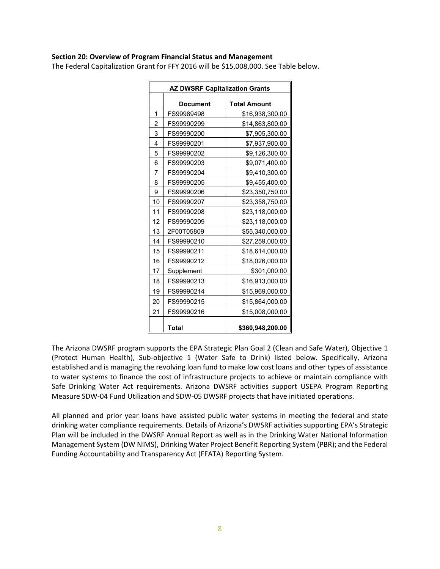#### **Section 20: Overview of Program Financial Status and Management**

The Federal Capitalization Grant for FFY 2016 will be \$15,008,000. See Table below.

| <b>AZ DWSRF Capitalization Grants</b> |              |                     |  |  |  |  |
|---------------------------------------|--------------|---------------------|--|--|--|--|
|                                       | Document     | <b>Total Amount</b> |  |  |  |  |
| 1                                     | FS99989498   | \$16,938,300.00     |  |  |  |  |
| $\overline{c}$                        | FS99990299   | \$14,863,800.00     |  |  |  |  |
| 3                                     | FS99990200   | \$7,905,300.00      |  |  |  |  |
| $\overline{4}$                        | FS99990201   | \$7,937,900.00      |  |  |  |  |
| 5                                     | FS99990202   | \$9,126,300.00      |  |  |  |  |
| 6                                     | FS99990203   | \$9,071,400.00      |  |  |  |  |
| 7                                     | FS99990204   | \$9,410,300.00      |  |  |  |  |
| 8                                     | FS99990205   | \$9,455,400.00      |  |  |  |  |
| 9                                     | FS99990206   | \$23,350,750.00     |  |  |  |  |
| 10                                    | FS99990207   | \$23,358,750.00     |  |  |  |  |
| 11                                    | FS99990208   | \$23,118,000.00     |  |  |  |  |
| 12                                    | FS99990209   | \$23,118,000.00     |  |  |  |  |
| 13                                    | 2F00T05809   | \$55,340,000.00     |  |  |  |  |
| 14                                    | FS99990210   | \$27,259,000.00     |  |  |  |  |
| 15                                    | FS99990211   | \$18,614,000.00     |  |  |  |  |
| 16                                    | FS99990212   | \$18,026,000.00     |  |  |  |  |
| 17                                    | Supplement   | \$301,000.00        |  |  |  |  |
| 18                                    | FS99990213   | \$16,913,000.00     |  |  |  |  |
| 19                                    | FS99990214   | \$15,969,000.00     |  |  |  |  |
| 20                                    | FS99990215   | \$15,864,000.00     |  |  |  |  |
| 21                                    | FS99990216   | \$15,008,000.00     |  |  |  |  |
|                                       | <b>Total</b> | \$360,948,200.00    |  |  |  |  |

The Arizona DWSRF program supports the EPA Strategic Plan Goal 2 (Clean and Safe Water), Objective 1 (Protect Human Health), Sub‐objective 1 (Water Safe to Drink) listed below. Specifically, Arizona established and is managing the revolving loan fund to make low cost loans and other types of assistance to water systems to finance the cost of infrastructure projects to achieve or maintain compliance with Safe Drinking Water Act requirements. Arizona DWSRF activities support USEPA Program Reporting Measure SDW‐04 Fund Utilization and SDW‐05 DWSRF projects that have initiated operations.

All planned and prior year loans have assisted public water systems in meeting the federal and state drinking water compliance requirements. Details of Arizona's DWSRF activities supporting EPA's Strategic Plan will be included in the DWSRF Annual Report as well as in the Drinking Water National Information Management System (DW NIMS), Drinking Water Project Benefit Reporting System (PBR); and the Federal Funding Accountability and Transparency Act (FFATA) Reporting System.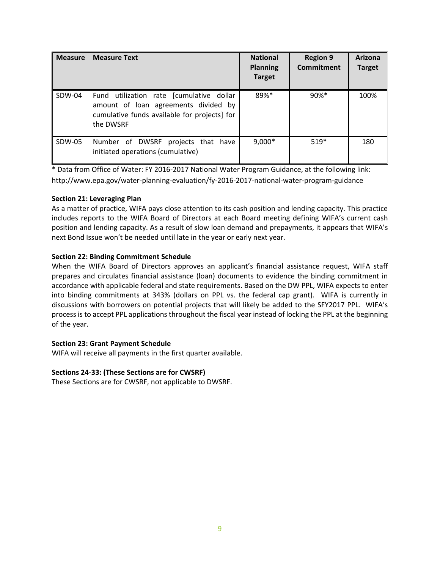| <b>Measure</b> | <b>Measure Text</b>                                                                                                                           | <b>National</b><br><b>Planning</b><br><b>Target</b> | <b>Region 9</b><br>Commitment | Arizona<br><b>Target</b> |
|----------------|-----------------------------------------------------------------------------------------------------------------------------------------------|-----------------------------------------------------|-------------------------------|--------------------------|
| SDW-04         | Fund utilization rate [cumulative dollar<br>amount of loan agreements divided by<br>cumulative funds available for projects] for<br>the DWSRF | 89%*                                                | $90\%$ <sup>*</sup>           | 100%                     |
| SDW-05         | Number of DWSRF<br>projects that have<br>initiated operations (cumulative)                                                                    | $9,000*$                                            | $519*$                        | 180                      |

\* Data from Office of Water: FY 2016‐2017 National Water Program Guidance, at the following link: http://www.epa.gov/water‐planning‐evaluation/fy‐2016‐2017‐national‐water‐program‐guidance

#### **Section 21: Leveraging Plan**

As a matter of practice, WIFA pays close attention to its cash position and lending capacity. This practice includes reports to the WIFA Board of Directors at each Board meeting defining WIFA's current cash position and lending capacity. As a result of slow loan demand and prepayments, it appears that WIFA's next Bond Issue won't be needed until late in the year or early next year.

#### **Section 22: Binding Commitment Schedule**

When the WIFA Board of Directors approves an applicant's financial assistance request, WIFA staff prepares and circulates financial assistance (loan) documents to evidence the binding commitment in accordance with applicable federal and state requirements**.** Based on the DW PPL, WIFA expects to enter into binding commitments at 343% (dollars on PPL vs. the federal cap grant). WIFA is currently in discussions with borrowers on potential projects that will likely be added to the SFY2017 PPL. WIFA's process is to accept PPL applications throughout the fiscal year instead of locking the PPL at the beginning of the year.

#### **Section 23: Grant Payment Schedule**

WIFA will receive all payments in the first quarter available.

#### **Sections 24‐33: (These Sections are for CWSRF)**

These Sections are for CWSRF, not applicable to DWSRF.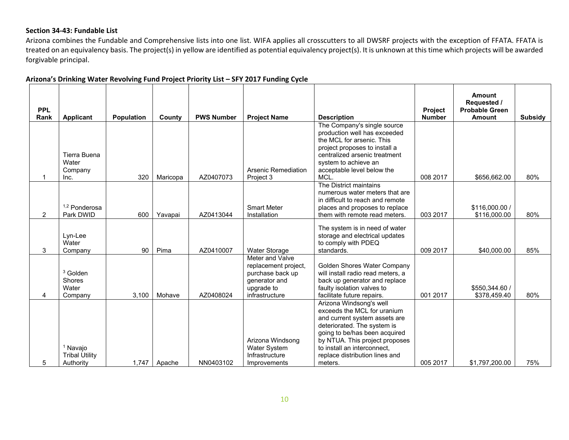#### **Section 34‐43: Fundable List**

Arizona combines the Fundable and Comprehensive lists into one list. WIFA applies all crosscutters to all DWSRF projects with the exception of FFATA. FFATA is treated on an equivalency basis. The project(s) in yellow are identified as potential equivalency project(s). It is unknown at this time which projects will be awarded forgivable principal.

| <b>PPL</b><br>Rank | <b>Applicant</b>                                          | <b>Population</b> | County   | <b>PWS Number</b> | <b>Project Name</b>                                                                                          | <b>Description</b>                                                                                                                                                                                                                                                    | Project<br><b>Number</b> | Amount<br>Requested /<br><b>Probable Green</b><br><b>Amount</b> | <b>Subsidy</b> |
|--------------------|-----------------------------------------------------------|-------------------|----------|-------------------|--------------------------------------------------------------------------------------------------------------|-----------------------------------------------------------------------------------------------------------------------------------------------------------------------------------------------------------------------------------------------------------------------|--------------------------|-----------------------------------------------------------------|----------------|
| 1                  | Tierra Buena<br>Water<br>Company<br>Inc.                  | 320               | Maricopa | AZ0407073         | <b>Arsenic Remediation</b><br>Project 3                                                                      | The Company's single source<br>production well has exceeded<br>the MCL for arsenic. This<br>project proposes to install a<br>centralized arsenic treatment<br>system to achieve an<br>acceptable level below the<br>MCL.                                              | 008 2017                 | \$656.662.00                                                    | 80%            |
| $\overline{2}$     | <sup>1,2</sup> Ponderosa<br>Park DWID                     | 600               | Yavapai  | AZ0413044         | <b>Smart Meter</b><br>Installation                                                                           | The District maintains<br>numerous water meters that are<br>in difficult to reach and remote<br>places and proposes to replace<br>them with remote read meters.                                                                                                       | 003 2017                 | \$116,000.00 /<br>\$116,000.00                                  | 80%            |
| 3                  | Lyn-Lee<br>Water<br>Company                               | 90                | Pima     | AZ0410007         | Water Storage                                                                                                | The system is in need of water<br>storage and electrical updates<br>to comply with PDEQ<br>standards.                                                                                                                                                                 | 009 2017                 | \$40,000.00                                                     | 85%            |
| 4                  | <sup>3</sup> Golden<br>Shores<br>Water<br>Company         | 3,100             | Mohave   | AZ0408024         | Meter and Valve<br>replacement project,<br>purchase back up<br>generator and<br>upgrade to<br>infrastructure | Golden Shores Water Company<br>will install radio read meters, a<br>back up generator and replace<br>faulty isolation valves to<br>facilitate future repairs.                                                                                                         | 001 2017                 | \$550.344.60 /<br>\$378,459.40                                  | 80%            |
| 5                  | <sup>1</sup> Navajo<br><b>Tribal Utility</b><br>Authority | 1,747             | Apache   | NN0403102         | Arizona Windsong<br><b>Water System</b><br>Infrastructure<br>Improvements                                    | Arizona Windsong's well<br>exceeds the MCL for uranium<br>and current system assets are<br>deteriorated. The system is<br>going to be/has been acquired<br>by NTUA. This project proposes<br>to install an interconnect,<br>replace distribution lines and<br>meters. | 005 2017                 | \$1,797,200.00                                                  | 75%            |

#### **Arizona's Drinking Water Revolving Fund Project Priority List – SFY 2017 Funding Cycle**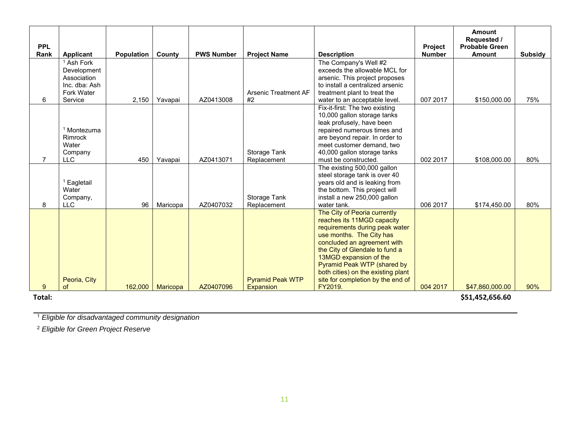| <b>PPL</b>     |                                                                              |                   |          |                   |                             |                                                                                                                                                                                                                                                                                                                               | <b>Project</b> | <b>Amount</b><br>Requested /<br><b>Probable Green</b> |         |
|----------------|------------------------------------------------------------------------------|-------------------|----------|-------------------|-----------------------------|-------------------------------------------------------------------------------------------------------------------------------------------------------------------------------------------------------------------------------------------------------------------------------------------------------------------------------|----------------|-------------------------------------------------------|---------|
| Rank           | <b>Applicant</b>                                                             | <b>Population</b> | County   | <b>PWS Number</b> | <b>Project Name</b>         | <b>Description</b>                                                                                                                                                                                                                                                                                                            | <b>Number</b>  | <b>Amount</b>                                         | Subsidy |
|                | Ash Fork<br>Development<br>Association<br>Inc. dba: Ash<br><b>Fork Water</b> |                   |          |                   | <b>Arsenic Treatment AF</b> | The Company's Well #2<br>exceeds the allowable MCL for<br>arsenic. This project proposes<br>to install a centralized arsenic<br>treatment plant to treat the                                                                                                                                                                  |                |                                                       |         |
| 6              | Service                                                                      | 2,150             | Yavapai  | AZ0413008         | #2                          | water to an acceptable level.                                                                                                                                                                                                                                                                                                 | 007 2017       | \$150,000.00                                          | 75%     |
|                | <sup>1</sup> Montezuma<br>Rimrock<br>Water<br>Company                        |                   |          |                   | Storage Tank                | Fix-it-first: The two existing<br>10,000 gallon storage tanks<br>leak profusely, have been<br>repaired numerous times and<br>are beyond repair. In order to<br>meet customer demand, two<br>40,000 gallon storage tanks                                                                                                       |                |                                                       |         |
| $\overline{7}$ | <b>LLC</b>                                                                   | 450               | Yavapai  | AZ0413071         | Replacement                 | must be constructed.                                                                                                                                                                                                                                                                                                          | 002 2017       | \$108,000.00                                          | 80%     |
| 8              | <sup>1</sup> Eagletail<br>Water<br>Company,<br><b>LLC</b>                    | 96                | Maricopa | AZ0407032         | Storage Tank<br>Replacement | The existing 500,000 gallon<br>steel storage tank is over 40<br>years old and is leaking from<br>the bottom. This project will<br>install a new 250,000 gallon<br>water tank.                                                                                                                                                 | 006 2017       | \$174,450.00                                          | 80%     |
|                | Peoria, City                                                                 |                   |          |                   | <b>Pyramid Peak WTP</b>     | The City of Peoria currently<br>reaches its 11MGD capacity<br>requirements during peak water<br>use months. The City has<br>concluded an agreement with<br>the City of Glendale to fund a<br>13MGD expansion of the<br>Pyramid Peak WTP (shared by<br>both cities) on the existing plant<br>site for completion by the end of |                |                                                       |         |
| 9              | of                                                                           | 162,000           | Maricopa | AZ0407096         | <b>Expansion</b>            | FY2019.                                                                                                                                                                                                                                                                                                                       | 004 2017       | \$47,860,000.00                                       | 90%     |
| $T0+0$         |                                                                              |                   |          |                   |                             |                                                                                                                                                                                                                                                                                                                               |                | CE1 AEJ CEC CN                                        |         |

**Total:**

**\$51,452,656.60**

1 *Eligible for disadvantaged community designation*

2 *Eligible for Green Project Reserve*